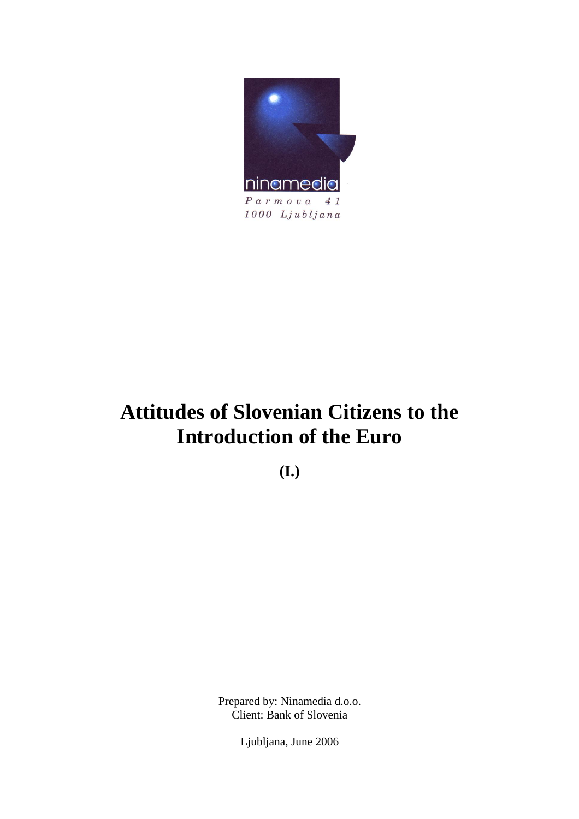

# **Attitudes of Slovenian Citizens to the Introduction of the Euro**

**(I.)** 

Prepared by: Ninamedia d.o.o. Client: Bank of Slovenia

Ljubljana, June 2006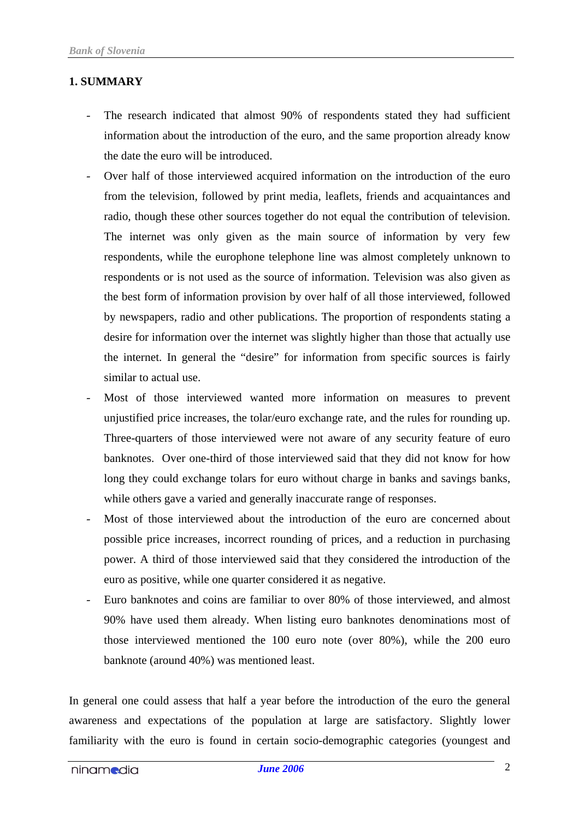## **1. SUMMARY**

- The research indicated that almost 90% of respondents stated they had sufficient information about the introduction of the euro, and the same proportion already know the date the euro will be introduced.
- Over half of those interviewed acquired information on the introduction of the euro from the television, followed by print media, leaflets, friends and acquaintances and radio, though these other sources together do not equal the contribution of television. The internet was only given as the main source of information by very few respondents, while the europhone telephone line was almost completely unknown to respondents or is not used as the source of information. Television was also given as the best form of information provision by over half of all those interviewed, followed by newspapers, radio and other publications. The proportion of respondents stating a desire for information over the internet was slightly higher than those that actually use the internet. In general the "desire" for information from specific sources is fairly similar to actual use.
- Most of those interviewed wanted more information on measures to prevent unjustified price increases, the tolar/euro exchange rate, and the rules for rounding up. Three-quarters of those interviewed were not aware of any security feature of euro banknotes. Over one-third of those interviewed said that they did not know for how long they could exchange tolars for euro without charge in banks and savings banks, while others gave a varied and generally inaccurate range of responses.
- Most of those interviewed about the introduction of the euro are concerned about possible price increases, incorrect rounding of prices, and a reduction in purchasing power. A third of those interviewed said that they considered the introduction of the euro as positive, while one quarter considered it as negative.
- Euro banknotes and coins are familiar to over 80% of those interviewed, and almost 90% have used them already. When listing euro banknotes denominations most of those interviewed mentioned the 100 euro note (over 80%), while the 200 euro banknote (around 40%) was mentioned least.

In general one could assess that half a year before the introduction of the euro the general awareness and expectations of the population at large are satisfactory. Slightly lower familiarity with the euro is found in certain socio-demographic categories (youngest and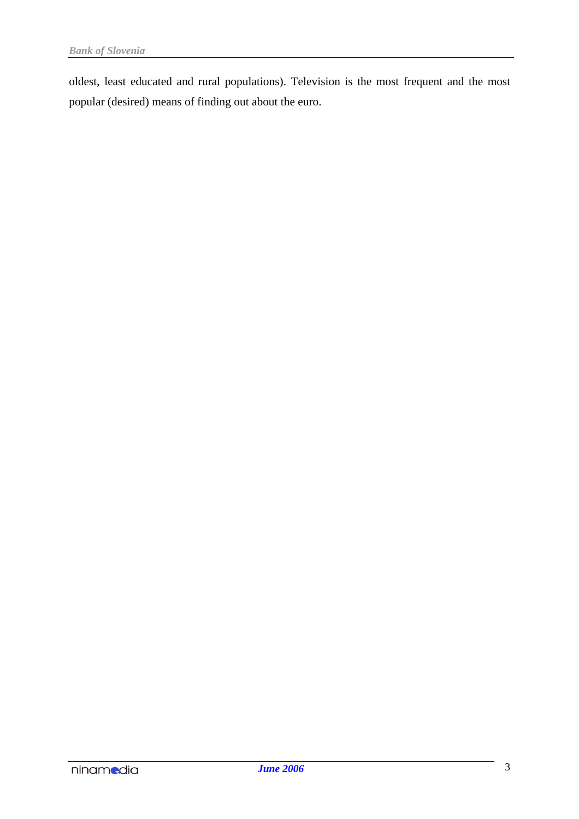oldest, least educated and rural populations). Television is the most frequent and the most popular (desired) means of finding out about the euro.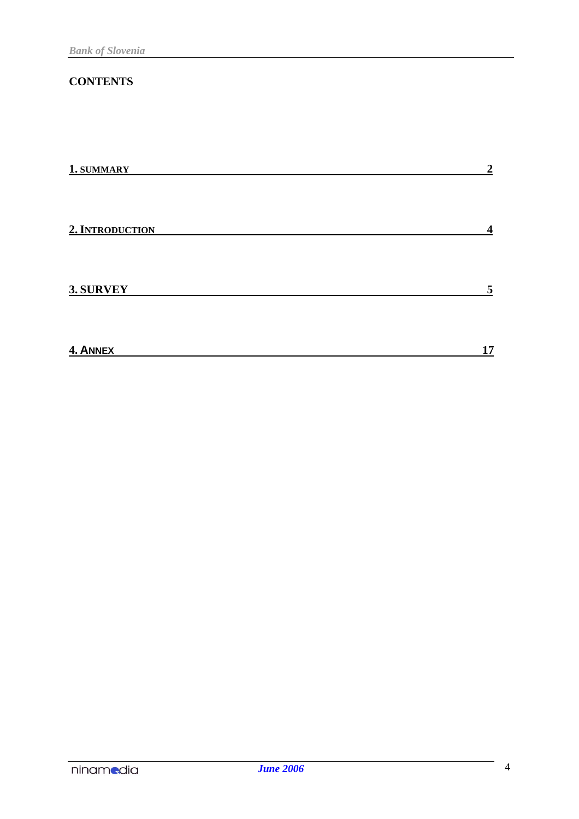# **CONTENTS**

| 1. SUMMARY      | $\boldsymbol{2}$ |
|-----------------|------------------|
| 2. INTRODUCTION | $\boldsymbol{4}$ |
| 3. SURVEY       | 5                |
| 4. ANNEX        | 17               |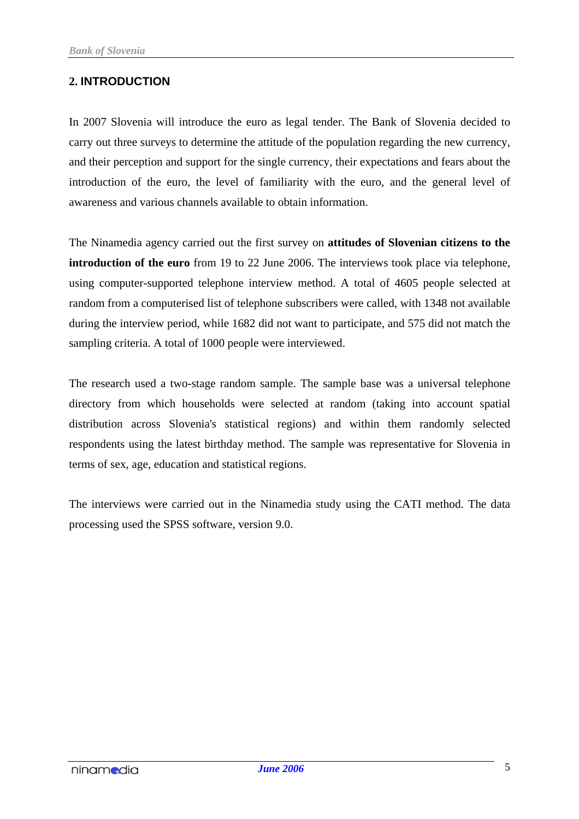# **2. INTRODUCTION**

In 2007 Slovenia will introduce the euro as legal tender. The Bank of Slovenia decided to carry out three surveys to determine the attitude of the population regarding the new currency, and their perception and support for the single currency, their expectations and fears about the introduction of the euro, the level of familiarity with the euro, and the general level of awareness and various channels available to obtain information.

The Ninamedia agency carried out the first survey on **attitudes of Slovenian citizens to the introduction of the euro** from 19 to 22 June 2006. The interviews took place via telephone, using computer-supported telephone interview method. A total of 4605 people selected at random from a computerised list of telephone subscribers were called, with 1348 not available during the interview period, while 1682 did not want to participate, and 575 did not match the sampling criteria. A total of 1000 people were interviewed.

The research used a two-stage random sample. The sample base was a universal telephone directory from which households were selected at random (taking into account spatial distribution across Slovenia's statistical regions) and within them randomly selected respondents using the latest birthday method. The sample was representative for Slovenia in terms of sex, age, education and statistical regions.

The interviews were carried out in the Ninamedia study using the CATI method. The data processing used the SPSS software, version 9.0.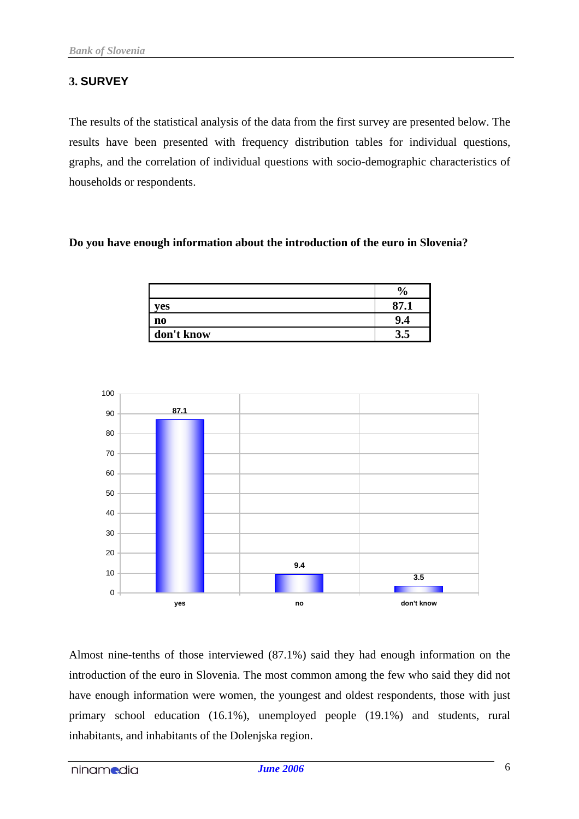# **3. SURVEY**

The results of the statistical analysis of the data from the first survey are presented below. The results have been presented with frequency distribution tables for individual questions, graphs, and the correlation of individual questions with socio-demographic characteristics of households or respondents.

### **Do you have enough information about the introduction of the euro in Slovenia?**

|                | 0        |
|----------------|----------|
| ves            | 07       |
| n <sub>0</sub> | u<br>1.4 |
| don't know     |          |



Almost nine-tenths of those interviewed (87.1%) said they had enough information on the introduction of the euro in Slovenia. The most common among the few who said they did not have enough information were women, the youngest and oldest respondents, those with just primary school education (16.1%), unemployed people (19.1%) and students, rural inhabitants, and inhabitants of the Dolenjska region.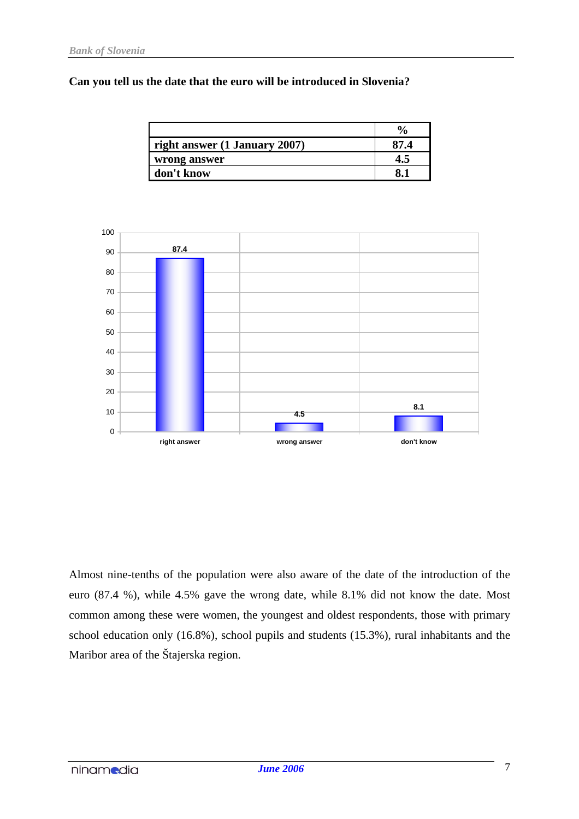#### **Can you tell us the date that the euro will be introduced in Slovenia?**

| right answer $(1 \text{ January } 2007)$ |  |
|------------------------------------------|--|
| wrong answer                             |  |
| don't know                               |  |



Almost nine-tenths of the population were also aware of the date of the introduction of the euro (87.4 %), while 4.5% gave the wrong date, while 8.1% did not know the date. Most common among these were women, the youngest and oldest respondents, those with primary school education only (16.8%), school pupils and students (15.3%), rural inhabitants and the Maribor area of the Štajerska region.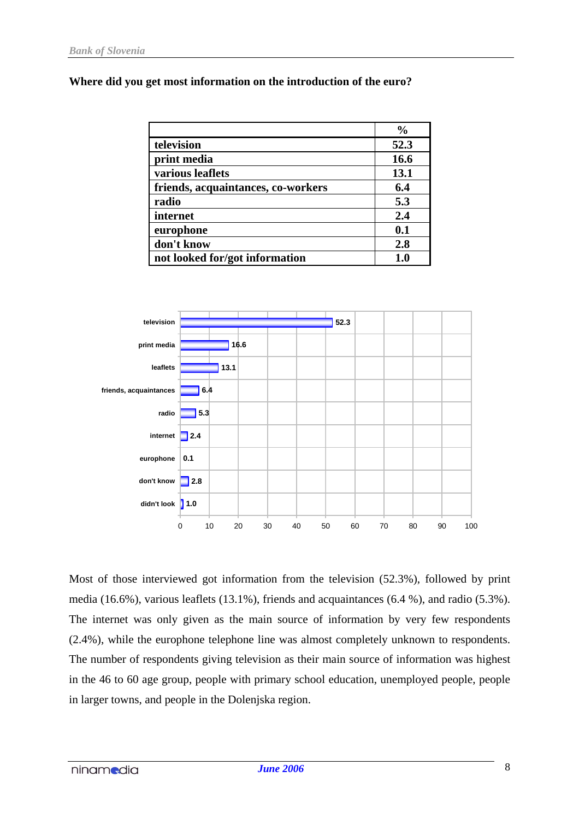### **Where did you get most information on the introduction of the euro?**

|                                    | $\frac{0}{0}$ |
|------------------------------------|---------------|
| television                         | 52.3          |
| print media                        | 16.6          |
| various leaflets                   | 13.1          |
| friends, acquaintances, co-workers | 6.4           |
| radio                              | 5.3           |
| internet                           | 2.4           |
| europhone                          | 0.1           |
| don't know                         | 2.8           |
| not looked for/got information     | 1.0           |



Most of those interviewed got information from the television (52.3%), followed by print media (16.6%), various leaflets (13.1%), friends and acquaintances (6.4 %), and radio (5.3%). The internet was only given as the main source of information by very few respondents (2.4%), while the europhone telephone line was almost completely unknown to respondents. The number of respondents giving television as their main source of information was highest in the 46 to 60 age group, people with primary school education, unemployed people, people in larger towns, and people in the Dolenjska region.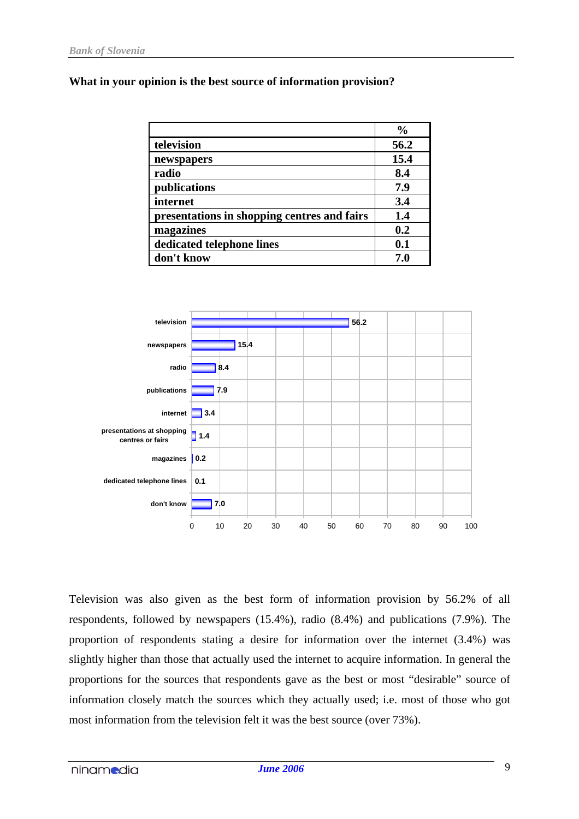### **What in your opinion is the best source of information provision?**

|                                             | $\frac{0}{0}$ |
|---------------------------------------------|---------------|
| television                                  | 56.2          |
| newspapers                                  | 15.4          |
| radio                                       | 8.4           |
| publications                                | 7.9           |
| internet                                    | 3.4           |
| presentations in shopping centres and fairs | 1.4           |
| magazines                                   | 0.2           |
| dedicated telephone lines                   | 0.1           |
| don't know                                  | 7.0           |



Television was also given as the best form of information provision by 56.2% of all respondents, followed by newspapers (15.4%), radio (8.4%) and publications (7.9%). The proportion of respondents stating a desire for information over the internet (3.4%) was slightly higher than those that actually used the internet to acquire information. In general the proportions for the sources that respondents gave as the best or most "desirable" source of information closely match the sources which they actually used; i.e. most of those who got most information from the television felt it was the best source (over 73%).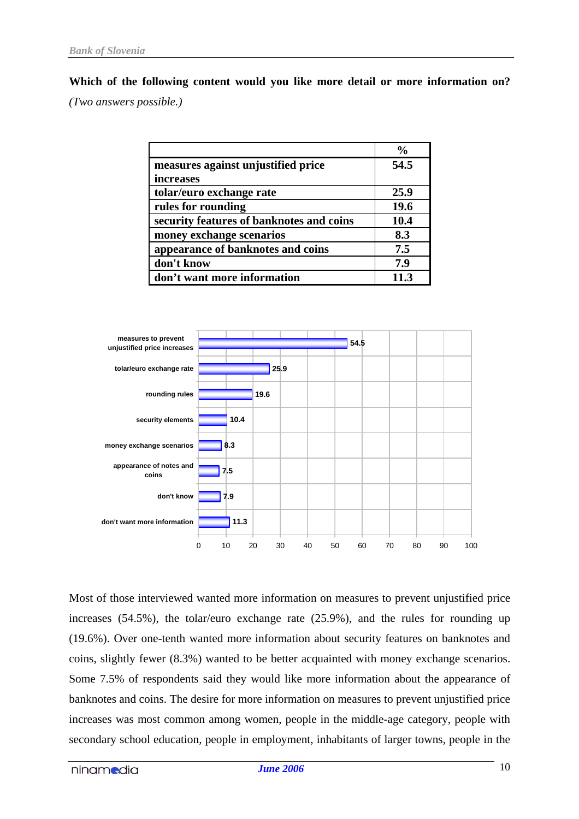**Which of the following content would you like more detail or more information on?** *(Two answers possible.)*

|                                          | $\frac{0}{0}$ |
|------------------------------------------|---------------|
| measures against unjustified price       | 54.5          |
| increases                                |               |
| tolar/euro exchange rate                 | 25.9          |
| rules for rounding                       | <b>19.6</b>   |
| security features of banknotes and coins | 10.4          |
| money exchange scenarios                 | 8.3           |
| appearance of banknotes and coins        | 7.5           |
| don't know                               | 7.9           |
| don't want more information              | 11 ว          |



Most of those interviewed wanted more information on measures to prevent unjustified price increases (54.5%), the tolar/euro exchange rate (25.9%), and the rules for rounding up (19.6%). Over one-tenth wanted more information about security features on banknotes and coins, slightly fewer (8.3%) wanted to be better acquainted with money exchange scenarios. Some 7.5% of respondents said they would like more information about the appearance of banknotes and coins. The desire for more information on measures to prevent unjustified price increases was most common among women, people in the middle-age category, people with secondary school education, people in employment, inhabitants of larger towns, people in the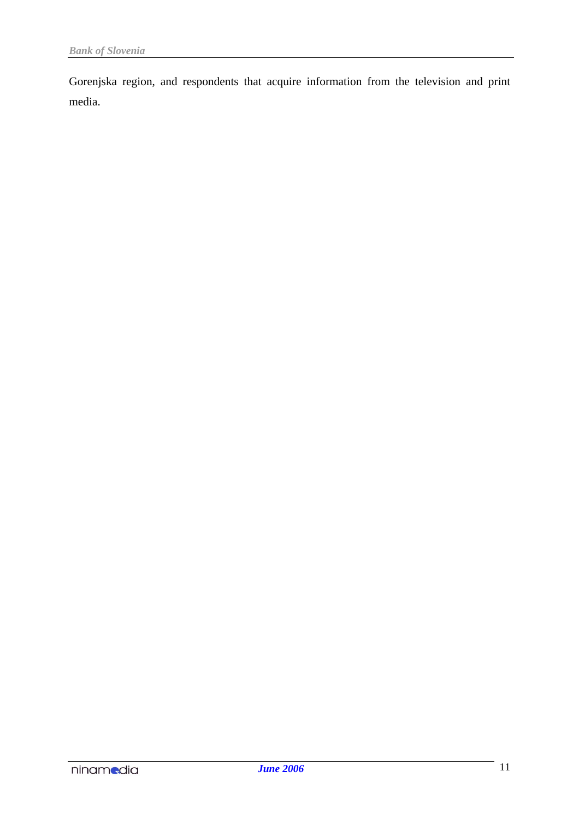Gorenjska region, and respondents that acquire information from the television and print media.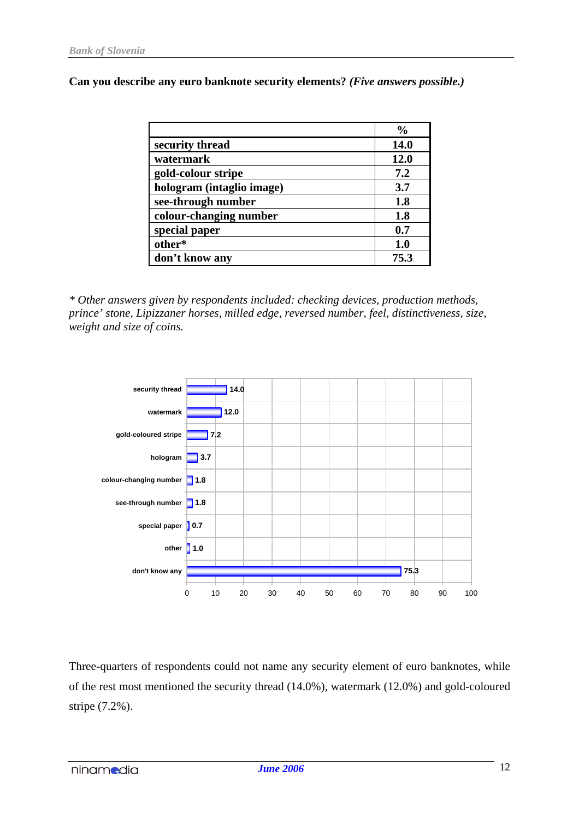**Can you describe any euro banknote security elements?** *(Five answers possible.)*

|                           | $\frac{0}{0}$ |
|---------------------------|---------------|
| security thread           | <b>14.0</b>   |
| watermark                 | 12.0          |
| gold-colour stripe        | 7.2           |
| hologram (intaglio image) | 3.7           |
| see-through number        | 1.8           |
| colour-changing number    | 1.8           |
| special paper             | 0.7           |
| other*                    | 1.0           |
| don't know any            | 75.3          |

*\* Other answers given by respondents included: checking devices, production methods, prince' stone, Lipizzaner horses, milled edge, reversed number, feel, distinctiveness, size, weight and size of coins.*



Three-quarters of respondents could not name any security element of euro banknotes, while of the rest most mentioned the security thread (14.0%), watermark (12.0%) and gold-coloured stripe (7.2%).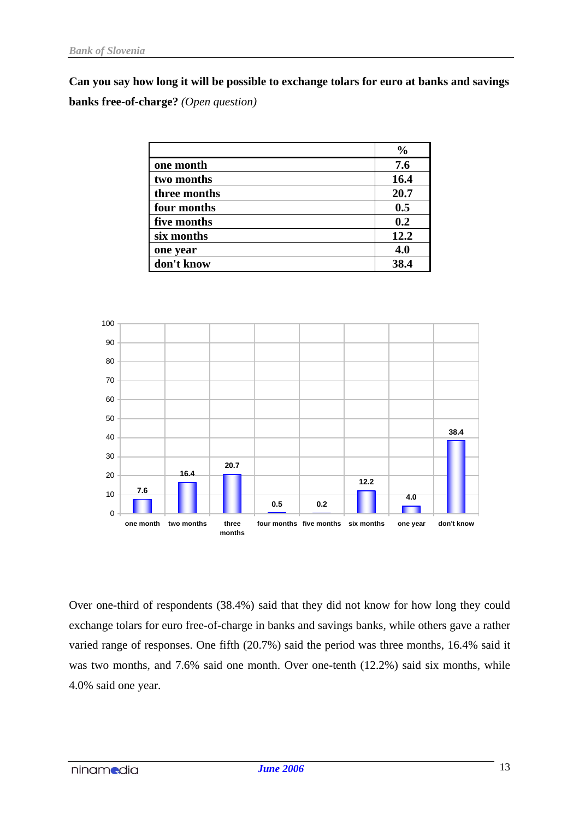**Can you say how long it will be possible to exchange tolars for euro at banks and savings banks free-of-charge?** *(Open question)*

|              | $\frac{0}{0}$ |
|--------------|---------------|
| one month    | 7.6           |
| two months   | 16.4          |
| three months | 20.7          |
| four months  | 0.5           |
| five months  | 0.2           |
| six months   | 12.2          |
| one year     | 4.0           |
| don't know   | <b>384</b>    |



Over one-third of respondents (38.4%) said that they did not know for how long they could exchange tolars for euro free-of-charge in banks and savings banks, while others gave a rather varied range of responses. One fifth (20.7%) said the period was three months, 16.4% said it was two months, and 7.6% said one month. Over one-tenth (12.2%) said six months, while 4.0% said one year.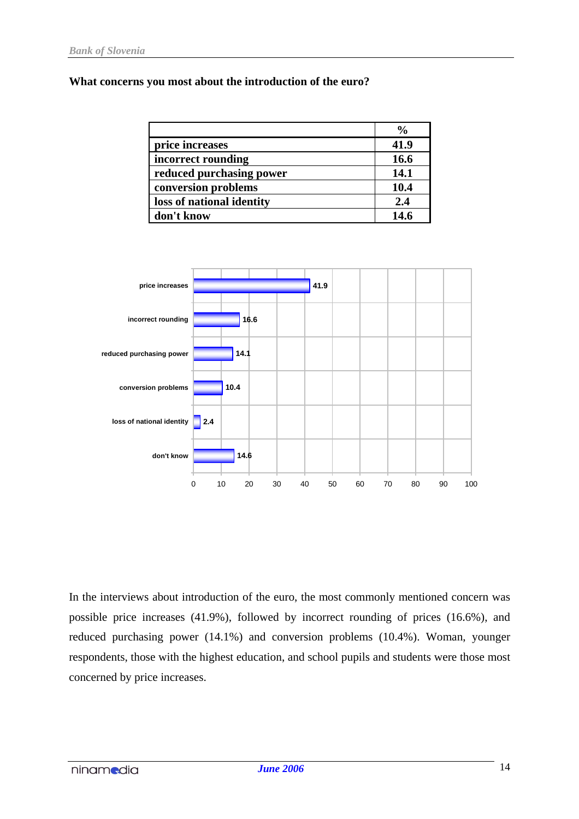#### **What concerns you most about the introduction of the euro?**

|                           | $\frac{6}{9}$ |
|---------------------------|---------------|
| price increases           | 41.9          |
| incorrect rounding        | 16.6          |
| reduced purchasing power  | 14.1          |
| conversion problems       | 10.4          |
| loss of national identity | 2.4           |
| don't know                | 14.6          |



In the interviews about introduction of the euro, the most commonly mentioned concern was possible price increases (41.9%), followed by incorrect rounding of prices (16.6%), and reduced purchasing power (14.1%) and conversion problems (10.4%). Woman, younger respondents, those with the highest education, and school pupils and students were those most concerned by price increases.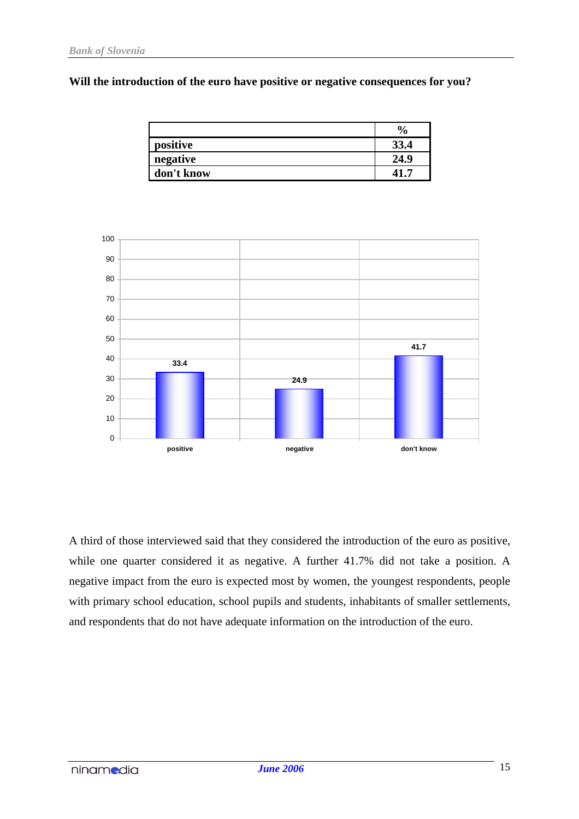#### **Will the introduction of the euro have positive or negative consequences for you?**

|            | $\boldsymbol{\theta}_{\mathbf{0}}$ |
|------------|------------------------------------|
| positive   | 33.4                               |
| negative   | 24.9                               |
| don't know |                                    |



A third of those interviewed said that they considered the introduction of the euro as positive, while one quarter considered it as negative. A further 41.7% did not take a position. A negative impact from the euro is expected most by women, the youngest respondents, people with primary school education, school pupils and students, inhabitants of smaller settlements, and respondents that do not have adequate information on the introduction of the euro.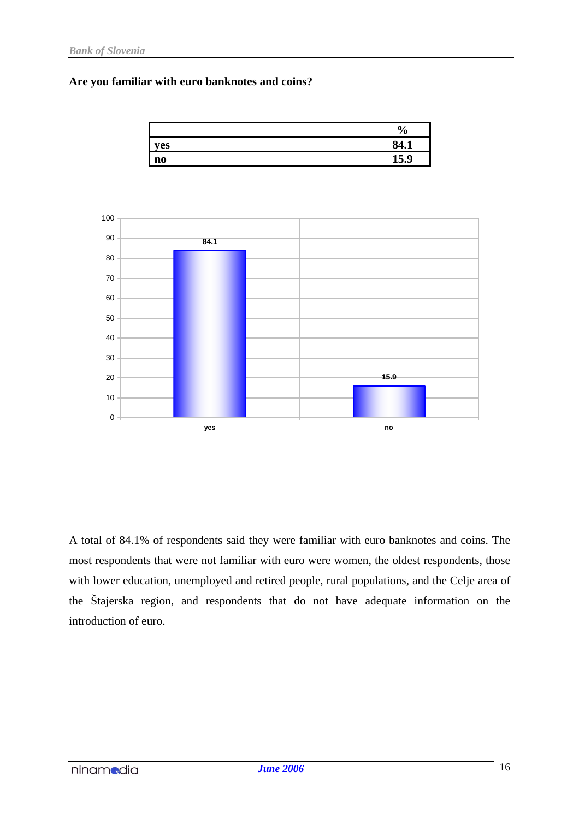#### **Are you familiar with euro banknotes and coins?**



A total of 84.1% of respondents said they were familiar with euro banknotes and coins. The most respondents that were not familiar with euro were women, the oldest respondents, those with lower education, unemployed and retired people, rural populations, and the Celje area of the Štajerska region, and respondents that do not have adequate information on the introduction of euro.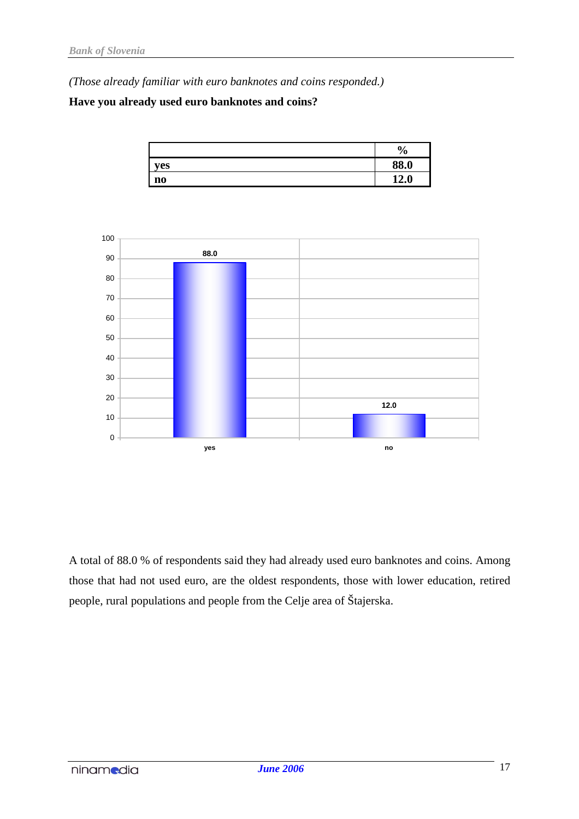*(Those already familiar with euro banknotes and coins responded.)*

# **Have you already used euro banknotes and coins?**





A total of 88.0 % of respondents said they had already used euro banknotes and coins. Among those that had not used euro, are the oldest respondents, those with lower education, retired people, rural populations and people from the Celje area of Štajerska.